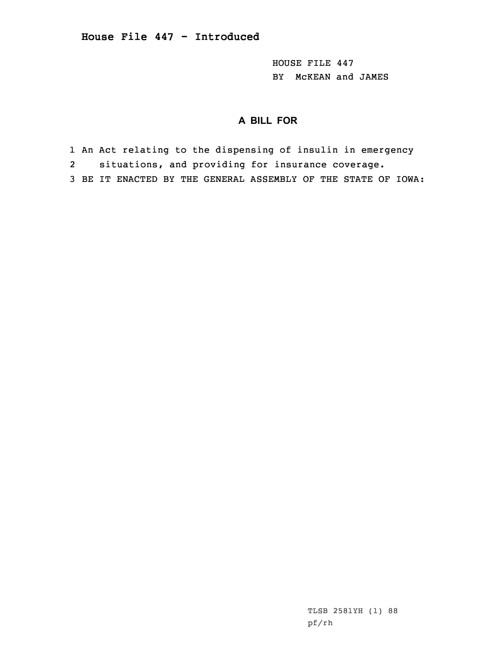HOUSE FILE 447 BY McKEAN and JAMES

## **A BILL FOR**

- 1 An Act relating to the dispensing of insulin in emergency
- 2situations, and providing for insurance coverage.
- 3 BE IT ENACTED BY THE GENERAL ASSEMBLY OF THE STATE OF IOWA: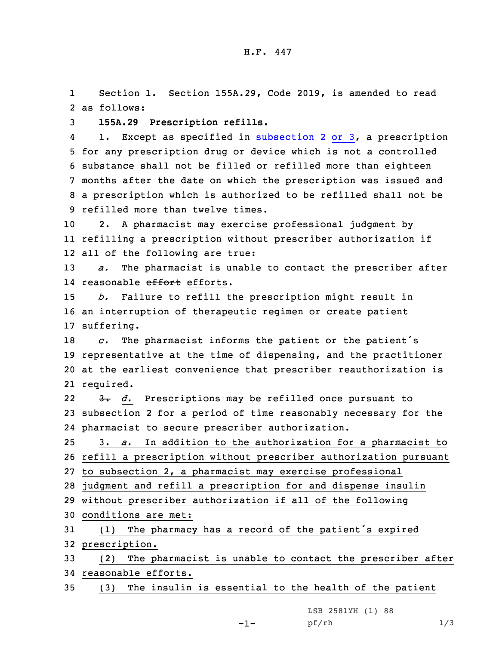1 Section 1. Section 155A.29, Code 2019, is amended to read 2 as follows:

3 **155A.29 Prescription refills.**

4 1. Except as specified in [subsection](https://www.legis.iowa.gov/docs/code/2019/155A.29.pdf) 2 or 3, <sup>a</sup> prescription for any prescription drug or device which is not <sup>a</sup> controlled substance shall not be filled or refilled more than eighteen months after the date on which the prescription was issued and <sup>a</sup> prescription which is authorized to be refilled shall not be refilled more than twelve times.

10 2. <sup>A</sup> pharmacist may exercise professional judgment by 11 refilling <sup>a</sup> prescription without prescriber authorization if 12 all of the following are true:

13 *a.* The pharmacist is unable to contact the prescriber after 14 reasonable <del>effort</del> efforts.

15 *b.* Failure to refill the prescription might result in 16 an interruption of therapeutic regimen or create patient 17 suffering.

 *c.* The pharmacist informs the patient or the patient's representative at the time of dispensing, and the practitioner at the earliest convenience that prescriber reauthorization is required.

22 3. *d.* Prescriptions may be refilled once pursuant to 23 subsection 2 for <sup>a</sup> period of time reasonably necessary for the 24 pharmacist to secure prescriber authorization.

25 3. *a.* In addition to the authorization for <sup>a</sup> pharmacist to 26 refill <sup>a</sup> prescription without prescriber authorization pursuant 27 to subsection 2, <sup>a</sup> pharmacist may exercise professional

28 judgment and refill <sup>a</sup> prescription for and dispense insulin

29 without prescriber authorization if all of the following

30 conditions are met:

<sup>31</sup> (1) The pharmacy has <sup>a</sup> record of the patient's expired 32 prescription.

33 (2) The pharmacist is unable to contact the prescriber after 34 reasonable efforts.

35 (3) The insulin is essential to the health of the patient

LSB 2581YH (1) 88 pf/rh 1/3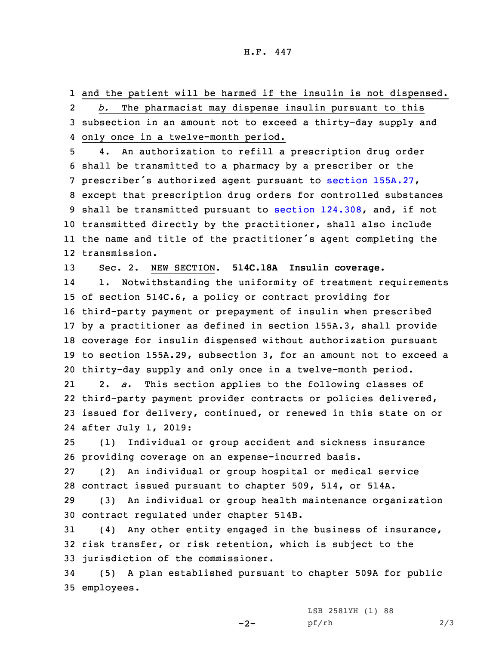1 and the patient will be harmed if the insulin is not dispensed. 2 *b.* The pharmacist may dispense insulin pursuant to this 3 subsection in an amount not to exceed <sup>a</sup> thirty-day supply and 4 only once in <sup>a</sup> twelve-month period.

 4. An authorization to refill <sup>a</sup> prescription drug order shall be transmitted to <sup>a</sup> pharmacy by <sup>a</sup> prescriber or the prescriber's authorized agent pursuant to section [155A.27](https://www.legis.iowa.gov/docs/code/2019/155A.27.pdf), except that prescription drug orders for controlled substances shall be transmitted pursuant to section [124.308](https://www.legis.iowa.gov/docs/code/2019/124.308.pdf), and, if not transmitted directly by the practitioner, shall also include the name and title of the practitioner's agent completing the transmission.

13 Sec. 2. NEW SECTION. **514C.18A Insulin coverage.**

14 1. Notwithstanding the uniformity of treatment requirements of section 514C.6, <sup>a</sup> policy or contract providing for third-party payment or prepayment of insulin when prescribed by <sup>a</sup> practitioner as defined in section 155A.3, shall provide coverage for insulin dispensed without authorization pursuant to section 155A.29, subsection 3, for an amount not to exceed <sup>a</sup> thirty-day supply and only once in <sup>a</sup> twelve-month period.

21 2. *a.* This section applies to the following classes of 22 third-party payment provider contracts or policies delivered, 23 issued for delivery, continued, or renewed in this state on or 24 after July 1, 2019:

25 (1) Individual or group accident and sickness insurance 26 providing coverage on an expense-incurred basis.

27 (2) An individual or group hospital or medical service 28 contract issued pursuant to chapter 509, 514, or 514A.

29 (3) An individual or group health maintenance organization 30 contract regulated under chapter 514B.

31 (4) Any other entity engaged in the business of insurance, 32 risk transfer, or risk retention, which is subject to the 33 jurisdiction of the commissioner.

34 (5) <sup>A</sup> plan established pursuant to chapter 509A for public 35 employees.

 $-2-$ 

LSB 2581YH (1) 88 pf/rh 2/3